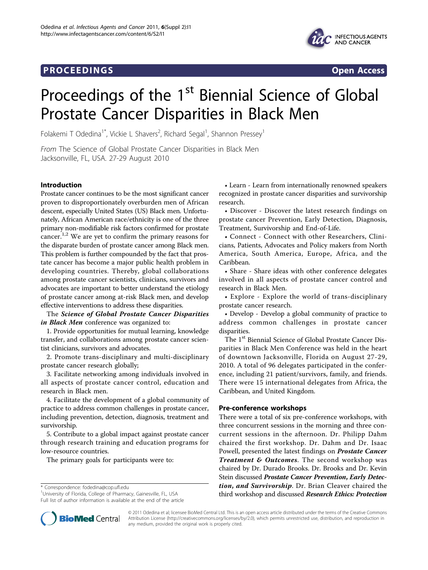## **PROCEEDINGS STATES CONSUMING S**



# Proceedings of the 1<sup>st</sup> Biennial Science of Global Prostate Cancer Disparities in Black Men

Folakemi T Odedina<sup>1\*</sup>, Vickie L Shavers<sup>2</sup>, Richard Segal<sup>1</sup>, Shannon Pressey<sup>1</sup>

From The Science of Global Prostate Cancer Disparities in Black Men Jacksonville, FL, USA. 27-29 August 2010

## Introduction

Prostate cancer continues to be the most significant cancer proven to disproportionately overburden men of African descent, especially United States (US) Black men. Unfortunately, African American race/ethnicity is one of the three primary non-modifiable risk factors confirmed for prostate cancer.<sup>1,2</sup> We are yet to confirm the primary reasons for the disparate burden of prostate cancer among Black men. This problem is further compounded by the fact that prostate cancer has become a major public health problem in developing countries. Thereby, global collaborations among prostate cancer scientists, clinicians, survivors and advocates are important to better understand the etiology of prostate cancer among at-risk Black men, and develop effective interventions to address these disparities.

The Science of Global Prostate Cancer Disparities in Black Men conference was organized to:

1. Provide opportunities for mutual learning, knowledge transfer, and collaborations among prostate cancer scientist clinicians, survivors and advocates.

2. Promote trans-disciplinary and multi-disciplinary prostate cancer research globally;

3. Facilitate networking among individuals involved in all aspects of prostate cancer control, education and research in Black men.

4. Facilitate the development of a global community of practice to address common challenges in prostate cancer, including prevention, detection, diagnosis, treatment and survivorship.

5. Contribute to a global impact against prostate cancer through research training and education programs for low-resource countries.

The primary goals for participants were to:

\* Correspondence: [fodedina@cop.ufl.edu](mailto:fodedina@cop.ufl.edu)

<sup>1</sup>University of Florida, College of Pharmacy, Gainesville, FL, USA Full list of author information is available at the end of the article

• Learn - Learn from internationally renowned speakers recognized in prostate cancer disparities and survivorship research.

• Discover - Discover the latest research findings on prostate cancer Prevention, Early Detection, Diagnosis, Treatment, Survivorship and End-of-Life.

• Connect - Connect with other Researchers, Clinicians, Patients, Advocates and Policy makers from North America, South America, Europe, Africa, and the Caribbean.

• Share - Share ideas with other conference delegates involved in all aspects of prostate cancer control and research in Black Men.

• Explore - Explore the world of trans-disciplinary prostate cancer research.

• Develop - Develop a global community of practice to address common challenges in prostate cancer disparities.

The 1<sup>st</sup> Biennial Science of Global Prostate Cancer Disparities in Black Men Conference was held in the heart of downtown Jacksonville, Florida on August 27-29, 2010. A total of 96 delegates participated in the conference, including 21 patient/survivors, family, and friends. There were 15 international delegates from Africa, the Caribbean, and United Kingdom.

#### Pre-conference workshops

There were a total of six pre-conference workshops, with three concurrent sessions in the morning and three concurrent sessions in the afternoon. Dr. Philipp Dahm chaired the first workshop. Dr. Dahm and Dr. Isaac Powell, presented the latest findings on **Prostate Cancer** Treatment & Outcomes. The second workshop was chaired by Dr. Durado Brooks. Dr. Brooks and Dr. Kevin Stein discussed Prostate Cancer Prevention, Early Detection, and Survivorship. Dr. Brian Cleaver chaired the third workshop and discussed Research Ethics: Protection



© 2011 Odedina et al; licensee BioMed Central Ltd. This is an open access article distributed under the terms of the Creative Commons Attribution License [\(http://creativecommons.org/licenses/by/2.0](http://creativecommons.org/licenses/by/2.0)), which permits unrestricted use, distribution, and reproduction in any medium, provided the original work is properly cited.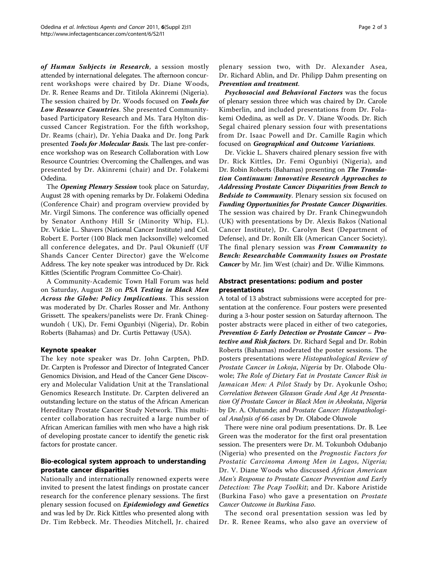of Human Subjects in Research, a session mostly attended by international delegates. The afternoon concurrent workshops were chaired by Dr. Diane Woods, Dr. R. Renee Reams and Dr. Titilola Akinremi (Nigeria). The session chaired by Dr. Woods focused on Tools for Low Resource Countries. She presented Communitybased Participatory Research and Ms. Tara Hylton discussed Cancer Registration. For the fifth workshop, Dr. Reams (chair), Dr. Yehia Daaka and Dr. Jong Park presented Tools for Molecular Basis. The last pre-conference workshop was on Research Collaboration with Low Resource Countries: Overcoming the Challenges, and was presented by Dr. Akinremi (chair) and Dr. Folakemi Odedina.

The Opening Plenary Session took place on Saturday, August 28 with opening remarks by Dr. Folakemi Odedina (Conference Chair) and program overview provided by Mr. Virgil Simons. The conference was officially opened by Senator Anthony Hill Sr (Minority Whip, FL). Dr. Vickie L.. Shavers (National Cancer Institute) and Col. Robert E. Porter (100 Black men Jacksonville) welcomed all conference delegates, and Dr. Paul Okunieff (UF Shands Cancer Center Director) gave the Welcome Address. The key note speaker was introduced by Dr. Rick Kittles (Scientific Program Committee Co-Chair).

A Community-Academic Town Hall Forum was held on Saturday, August 28 on PSA Testing in Black Men Across the Globe: Policy Implications. This session was moderated by Dr. Charles Rosser and Mr. Anthony Grissett. The speakers/panelists were Dr. Frank Chinegwundoh ( UK), Dr. Femi Ogunbiyi (Nigeria), Dr. Robin Roberts (Bahamas) and Dr. Curtis Pettaway (USA).

### Keynote speaker

The key note speaker was Dr. John Carpten, PhD. Dr. Carpten is Professor and Director of Integrated Cancer Genomics Division, and Head of the Cancer Gene Discovery and Molecular Validation Unit at the Translational Genomics Research Institute. Dr. Carpten delivered an outstanding lecture on the status of the African American Hereditary Prostate Cancer Study Network. This multicenter collaboration has recruited a large number of African American families with men who have a high risk of developing prostate cancer to identify the genetic risk factors for prostate cancer.

## Bio-ecological system approach to understanding prostate cancer disparities

Nationally and internationally renowned experts were invited to present the latest findings on prostate cancer research for the conference plenary sessions. The first plenary session focused on *Epidemiology and Genetics* and was led by Dr. Rick Kittles who presented along with Dr. Tim Rebbeck. Mr. Theodies Mitchell, Jr. chaired Page 2 of 3

plenary session two, with Dr. Alexander Asea, Dr. Richard Ablin, and Dr. Philipp Dahm presenting on Prevention and treatment.

Psychosocial and Behavioral Factors was the focus of plenary session three which was chaired by Dr. Carole Kimberlin, and included presentations from Dr. Folakemi Odedina, as well as Dr. V. Diane Woods. Dr. Rich Segal chaired plenary session four with presentations from Dr. Isaac Powell and Dr. Camille Ragin which focused on Geographical and Outcome Variations.

Dr. Vickie L. Shavers chaired plenary session five with Dr. Rick Kittles, Dr. Femi Ogunbiyi (Nigeria), and Dr. Robin Roberts (Bahamas) presenting on The Translation Continuum: Innovative Research Approaches to Addressing Prostate Cancer Disparities from Bench to Bedside to Community. Plenary session six focused on Funding Opportunities for Prostate Cancer Disparities. The session was chaired by Dr. Frank Chinegwundoh (UK) with presentations by Dr. Alexis Bakos (National Cancer Institute), Dr. Carolyn Best (Department of Defense), and Dr. Ronilt Elk (American Cancer Society). The final plenary session was From Community to Bench: Researchable Community Issues on Prostate Cancer by Mr. Jim West (chair) and Dr. Willie Kimmons.

## Abstract presentations: podium and poster presentations

A total of 13 abstract submissions were accepted for presentation at the conference. Four posters were presented during a 3-hour poster session on Saturday afternoon. The poster abstracts were placed in either of two categories, Prevention & Early Detection or Prostate Cancer – Protective and Risk factors. Dr. Richard Segal and Dr. Robin Roberts (Bahamas) moderated the poster sessions. The posters presentations were Histopathological Review of Prostate Cancer in Lokoja, Nigeria by Dr. Olabode Oluwole; The Role of Dietary Fat in Prostate Cancer Risk in Jamaican Men: A Pilot Study by Dr. Ayokunle Osho; Correlation Between Gleason Grade And Age At Presentation Of Prostate Cancer in Black Men in Abeokuta, Nigeria by Dr. A. Olutunde; and Prostate Cancer: Histopathological Analysis of 66 cases by Dr. Olabode Oluwole

There were nine oral podium presentations. Dr. B. Lee Green was the moderator for the first oral presentation session. The presenters were Dr. M. Tokunboh Odubanjo (Nigeria) who presented on the Prognostic Factors for Prostatic Carcinoma Among Men in Lagos, Nigeria; Dr. V. Diane Woods who discussed African American Men's Response to Prostate Cancer Prevention and Early Detection: The Pcap Toolkit; and Dr. Kabore Aristide (Burkina Faso) who gave a presentation on Prostate Cancer Outcome in Burkina Faso.

The second oral presentation session was led by Dr. R. Renee Reams, who also gave an overview of